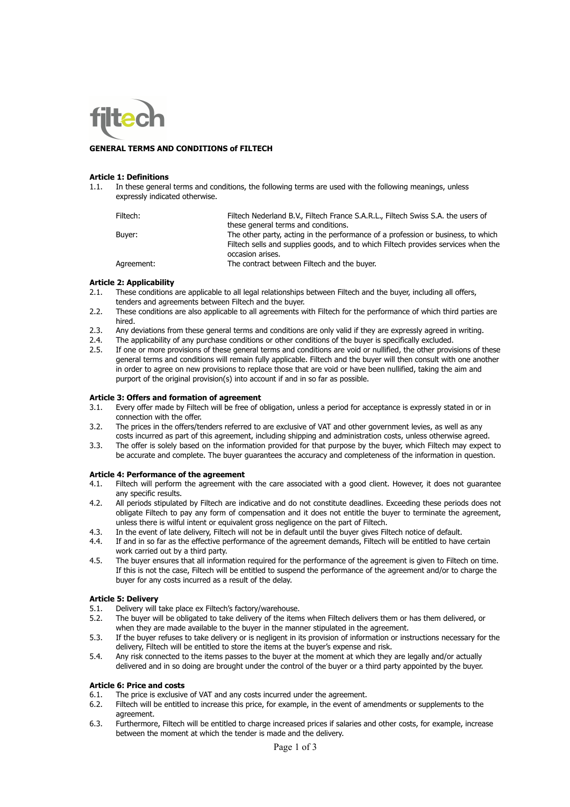

## **GENERAL TERMS AND CONDITIONS of FILTECH**

#### **Article 1: Definitions**

1.1. In these general terms and conditions, the following terms are used with the following meanings, unless expressly indicated otherwise.

| Filtech:   | Filtech Nederland B.V., Filtech France S.A.R.L., Filtech Swiss S.A. the users of  |
|------------|-----------------------------------------------------------------------------------|
|            | these general terms and conditions.                                               |
| Buver:     | The other party, acting in the performance of a profession or business, to which  |
|            | Filtech sells and supplies goods, and to which Filtech provides services when the |
|            | occasion arises.                                                                  |
| Agreement: | The contract between Filtech and the buyer.                                       |
|            |                                                                                   |

#### **Article 2: Applicability**

- 2.1. These conditions are applicable to all legal relationships between Filtech and the buyer, including all offers, tenders and agreements between Filtech and the buyer.
- 2.2. These conditions are also applicable to all agreements with Filtech for the performance of which third parties are hired.
- 2.3. Any deviations from these general terms and conditions are only valid if they are expressly agreed in writing.
- 2.4. The applicability of any purchase conditions or other conditions of the buyer is specifically excluded.
- 2.5. If one or more provisions of these general terms and conditions are void or nullified, the other provisions of these general terms and conditions will remain fully applicable. Filtech and the buyer will then consult with one another in order to agree on new provisions to replace those that are void or have been nullified, taking the aim and purport of the original provision(s) into account if and in so far as possible.

#### **Article 3: Offers and formation of agreement**

- 3.1. Every offer made by Filtech will be free of obligation, unless a period for acceptance is expressly stated in or in connection with the offer.
- 3.2. The prices in the offers/tenders referred to are exclusive of VAT and other government levies, as well as any costs incurred as part of this agreement, including shipping and administration costs, unless otherwise agreed.
- 3.3. The offer is solely based on the information provided for that purpose by the buyer, which Filtech may expect to be accurate and complete. The buyer guarantees the accuracy and completeness of the information in question.

#### **Article 4: Performance of the agreement**

- 4.1. Filtech will perform the agreement with the care associated with a good client. However, it does not guarantee any specific results.
- 4.2. All periods stipulated by Filtech are indicative and do not constitute deadlines. Exceeding these periods does not obligate Filtech to pay any form of compensation and it does not entitle the buyer to terminate the agreement, unless there is wilful intent or equivalent gross negligence on the part of Filtech.
- 4.3. In the event of late delivery, Filtech will not be in default until the buyer gives Filtech notice of default.
- 4.4. If and in so far as the effective performance of the agreement demands, Filtech will be entitled to have certain work carried out by a third party.
- 4.5. The buyer ensures that all information required for the performance of the agreement is given to Filtech on time. If this is not the case, Filtech will be entitled to suspend the performance of the agreement and/or to charge the buyer for any costs incurred as a result of the delay.

## **Article 5: Delivery**

- 5.1. Delivery will take place ex Filtech's factory/warehouse.
- 5.2. The buyer will be obligated to take delivery of the items when Filtech delivers them or has them delivered, or when they are made available to the buyer in the manner stipulated in the agreement.
- 5.3. If the buyer refuses to take delivery or is negligent in its provision of information or instructions necessary for the delivery, Filtech will be entitled to store the items at the buyer's expense and risk.
- 5.4. Any risk connected to the items passes to the buyer at the moment at which they are legally and/or actually delivered and in so doing are brought under the control of the buyer or a third party appointed by the buyer.

## **Article 6: Price and costs**

- 6.1. The price is exclusive of VAT and any costs incurred under the agreement.
- 6.2. Filtech will be entitled to increase this price, for example, in the event of amendments or supplements to the agreement.
- 6.3. Furthermore, Filtech will be entitled to charge increased prices if salaries and other costs, for example, increase between the moment at which the tender is made and the delivery.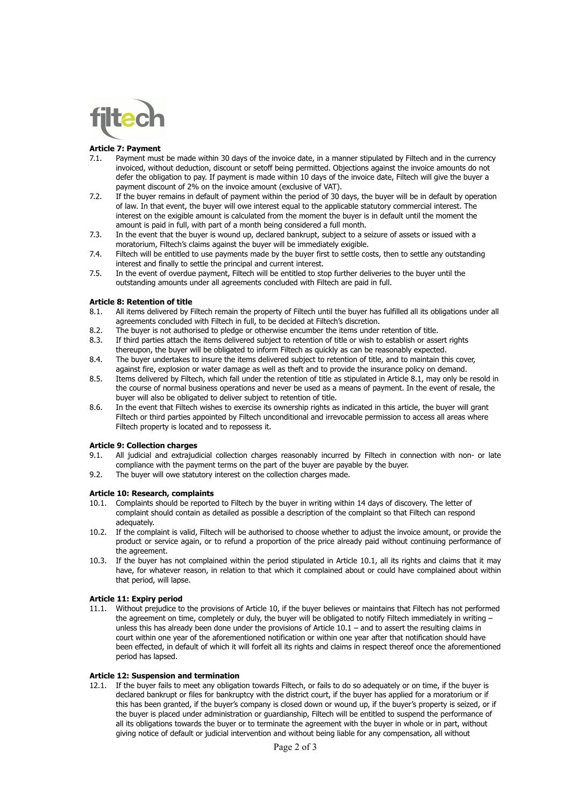

## **Article 7: Payment**

- 7.1. Payment must be made within 30 days of the invoice date, in a manner stipulated by Filtech and in the currency invoiced, without deduction, discount or setoff being permitted. Objections against the invoice amounts do not defer the obligation to pay. If payment is made within 10 days of the invoice date, Filtech will give the buyer a payment discount of 2% on the invoice amount (exclusive of VAT).
- 7.2. If the buyer remains in default of payment within the period of 30 days, the buyer will be in default by operation of law. In that event, the buyer will owe interest equal to the applicable statutory commercial interest. The interest on the exigible amount is calculated from the moment the buyer is in default until the moment the amount is paid in full, with part of a month being considered a full month.
- 7.3. In the event that the buyer is wound up, declared bankrupt, subject to a seizure of assets or issued with a moratorium, Filtech's claims against the buyer will be immediately exigible.
- 7.4. Filtech will be entitled to use payments made by the buyer first to settle costs, then to settle any outstanding interest and finally to settle the principal and current interest.
- 7.5. In the event of overdue payment, Filtech will be entitled to stop further deliveries to the buyer until the outstanding amounts under all agreements concluded with Filtech are paid in full.

## **Article 8: Retention of title**

- 8.1. All items delivered by Filtech remain the property of Filtech until the buyer has fulfilled all its obligations under all agreements concluded with Filtech in full, to be decided at Filtech's discretion.
- 8.2. The buyer is not authorised to pledge or otherwise encumber the items under retention of title.
- 8.3. If third parties attach the items delivered subject to retention of title or wish to establish or assert rights thereupon, the buyer will be obligated to inform Filtech as quickly as can be reasonably expected.
- 8.4. The buyer undertakes to insure the items delivered subject to retention of title, and to maintain this cover, against fire, explosion or water damage as well as theft and to provide the insurance policy on demand.
- 8.5. Items delivered by Filtech, which fall under the retention of title as stipulated in Article 8.1, may only be resold in the course of normal business operations and never be used as a means of payment. In the event of resale, the buyer will also be obligated to deliver subject to retention of title.
- 8.6. In the event that Filtech wishes to exercise its ownership rights as indicated in this article, the buyer will grant Filtech or third parties appointed by Filtech unconditional and irrevocable permission to access all areas where Filtech property is located and to repossess it.

## **Article 9: Collection charges**

- 9.1. All judicial and extrajudicial collection charges reasonably incurred by Filtech in connection with non- or late compliance with the payment terms on the part of the buyer are payable by the buyer.
- 9.2. The buyer will owe statutory interest on the collection charges made.

## **Article 10: Research, complaints**

- 10.1. Complaints should be reported to Filtech by the buyer in writing within 14 days of discovery. The letter of complaint should contain as detailed as possible a description of the complaint so that Filtech can respond adequately.
- 10.2. If the complaint is valid, Filtech will be authorised to choose whether to adjust the invoice amount, or provide the product or service again, or to refund a proportion of the price already paid without continuing performance of the agreement.
- 10.3. If the buyer has not complained within the period stipulated in Article 10.1, all its rights and claims that it may have, for whatever reason, in relation to that which it complained about or could have complained about within that period, will lapse.

## **Article 11: Expiry period**

11.1. Without prejudice to the provisions of Article 10, if the buyer believes or maintains that Filtech has not performed the agreement on time, completely or duly, the buyer will be obligated to notify Filtech immediately in writing – unless this has already been done under the provisions of Article 10.1 – and to assert the resulting claims in court within one year of the aforementioned notification or within one year after that notification should have been effected, in default of which it will forfeit all its rights and claims in respect thereof once the aforementioned period has lapsed.

#### **Article 12: Suspension and termination**

12.1. If the buyer fails to meet any obligation towards Filtech, or fails to do so adequately or on time, if the buyer is declared bankrupt or files for bankruptcy with the district court, if the buyer has applied for a moratorium or if this has been granted, if the buyer's company is closed down or wound up, if the buyer's property is seized, or if the buyer is placed under administration or guardianship, Filtech will be entitled to suspend the performance of all its obligations towards the buyer or to terminate the agreement with the buyer in whole or in part, without giving notice of default or judicial intervention and without being liable for any compensation, all without